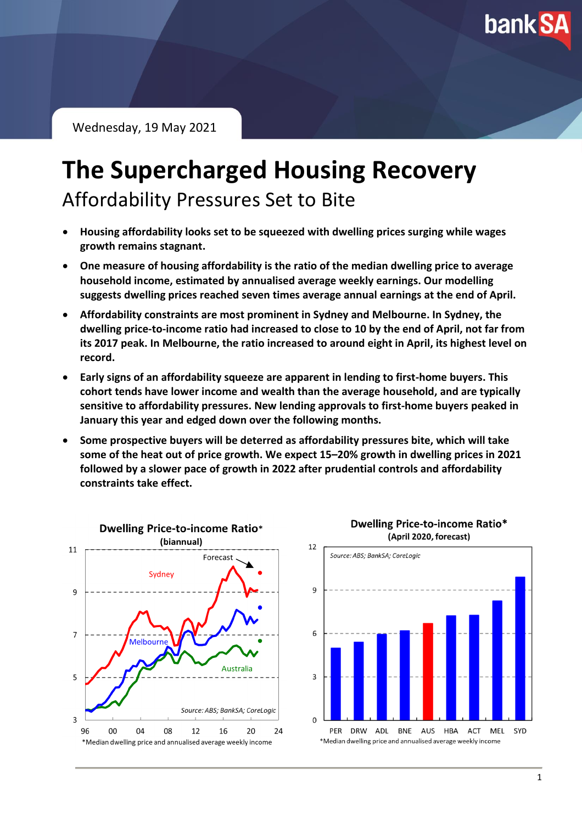**bank SA** 

Wednesday, 19 May 2021

## **The Supercharged Housing Recovery** Affordability Pressures Set to Bite

- **Housing affordability looks set to be squeezed with dwelling prices surging while wages growth remains stagnant.**
- **One measure of housing affordability is the ratio of the median dwelling price to average household income, estimated by annualised average weekly earnings. Our modelling suggests dwelling prices reached seven times average annual earnings at the end of April.**
- **Affordability constraints are most prominent in Sydney and Melbourne. In Sydney, the dwelling price-to-income ratio had increased to close to 10 by the end of April, not far from its 2017 peak. In Melbourne, the ratio increased to around eight in April, its highest level on record.**
- **Early signs of an affordability squeeze are apparent in lending to first-home buyers. This cohort tends have lower income and wealth than the average household, and are typically sensitive to affordability pressures. New lending approvals to first-home buyers peaked in January this year and edged down over the following months.**
- **Some prospective buyers will be deterred as affordability pressures bite, which will take some of the heat out of price growth. We expect 15–20% growth in dwelling prices in 2021 followed by a slower pace of growth in 2022 after prudential controls and affordability constraints take effect.**



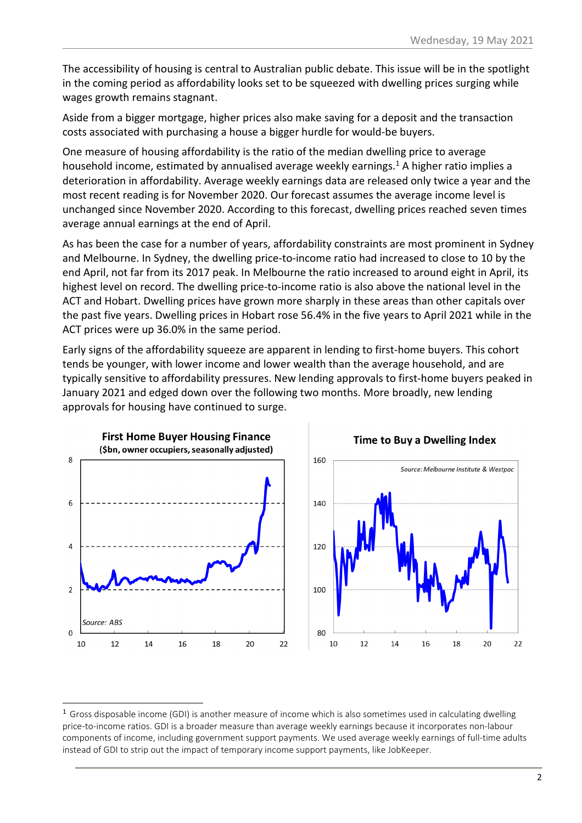The accessibility of housing is central to Australian public debate. This issue will be in the spotlight in the coming period as affordability looks set to be squeezed with dwelling prices surging while wages growth remains stagnant.

Aside from a bigger mortgage, higher prices also make saving for a deposit and the transaction costs associated with purchasing a house a bigger hurdle for would-be buyers.

One measure of housing affordability is the ratio of the median dwelling price to average household income, estimated by annualised average weekly earnings. <sup>1</sup> A higher ratio implies a deterioration in affordability. Average weekly earnings data are released only twice a year and the most recent reading is for November 2020. Our forecast assumes the average income level is unchanged since November 2020. According to this forecast, dwelling prices reached seven times average annual earnings at the end of April.

As has been the case for a number of years, affordability constraints are most prominent in Sydney and Melbourne. In Sydney, the dwelling price-to-income ratio had increased to close to 10 by the end April, not far from its 2017 peak. In Melbourne the ratio increased to around eight in April, its highest level on record. The dwelling price-to-income ratio is also above the national level in the ACT and Hobart. Dwelling prices have grown more sharply in these areas than other capitals over the past five years. Dwelling prices in Hobart rose 56.4% in the five years to April 2021 while in the ACT prices were up 36.0% in the same period.

Early signs of the affordability squeeze are apparent in lending to first-home buyers. This cohort tends be younger, with lower income and lower wealth than the average household, and are typically sensitive to affordability pressures. New lending approvals to first-home buyers peaked in January 2021 and edged down over the following two months. More broadly, new lending approvals for housing have continued to surge.



<sup>&</sup>lt;sup>1</sup> Gross disposable income (GDI) is another measure of income which is also sometimes used in calculating dwelling price-to-income ratios. GDI is a broader measure than average weekly earnings because it incorporates non-labour components of income, including government support payments. We used average weekly earnings of full-time adults instead of GDI to strip out the impact of temporary income support payments, like JobKeeper.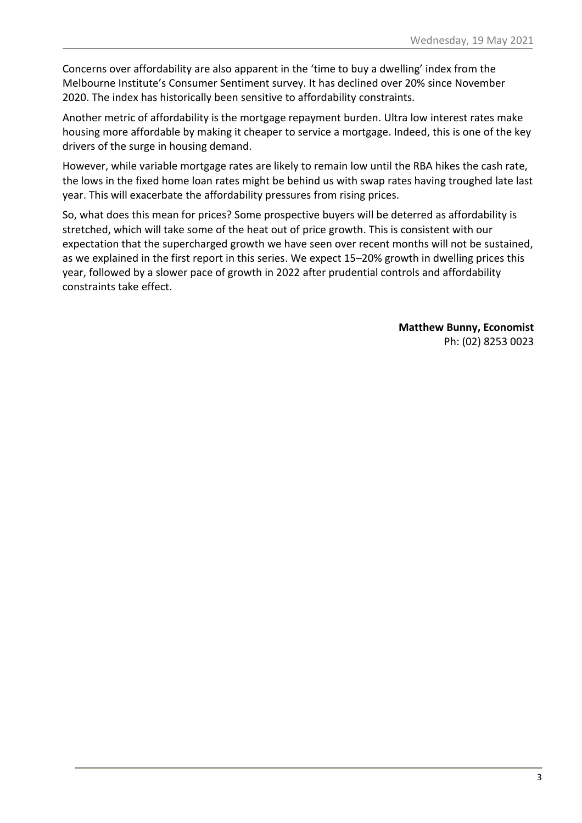Concerns over affordability are also apparent in the 'time to buy a dwelling' index from the Melbourne Institute's Consumer Sentiment survey. It has declined over 20% since November 2020. The index has historically been sensitive to affordability constraints.

Another metric of affordability is the mortgage repayment burden. Ultra low interest rates make housing more affordable by making it cheaper to service a mortgage. Indeed, this is one of the key drivers of the surge in housing demand.

However, while variable mortgage rates are likely to remain low until the RBA hikes the cash rate, the lows in the fixed home loan rates might be behind us with swap rates having troughed late last year. This will exacerbate the affordability pressures from rising prices.

So, what does this mean for prices? Some prospective buyers will be deterred as affordability is stretched, which will take some of the heat out of price growth. This is consistent with our expectation that the supercharged growth we have seen over recent months will not be sustained, as we explained in the first report in this series. We expect 15–20% growth in dwelling prices this year, followed by a slower pace of growth in 2022 after prudential controls and affordability constraints take effect.

> **Matthew Bunny, Economist** Ph: (02) 8253 0023